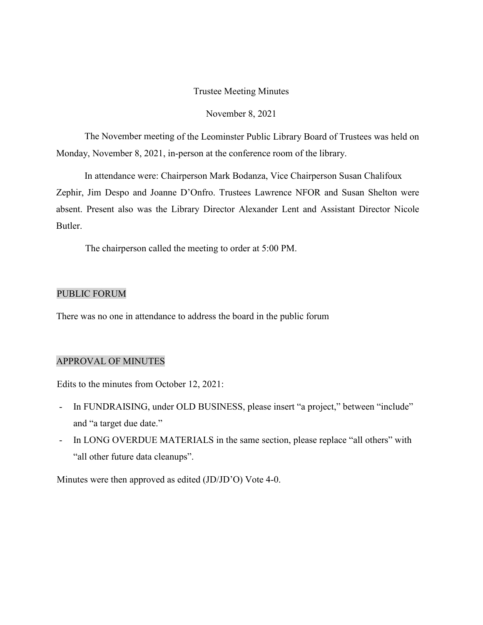#### Trustee Meeting Minutes

#### November 8, 2021

The November meeting of the Leominster Public Library Board of Trustees was held on Monday, November 8, 2021, in-person at the conference room of the library.

In attendance were: Chairperson Mark Bodanza, Vice Chairperson Susan Chalifoux Zephir, Jim Despo and Joanne D'Onfro. Trustees Lawrence NFOR and Susan Shelton were absent. Present also was the Library Director Alexander Lent and Assistant Director Nicole Butler.

The chairperson called the meeting to order at 5:00 PM.

### PUBLIC FORUM

There was no one in attendance to address the board in the public forum

# APPROVAL OF MINUTES

Edits to the minutes from October 12, 2021:

- In FUNDRAISING, under OLD BUSINESS, please insert "a project," between "include" and "a target due date."
- In LONG OVERDUE MATERIALS in the same section, please replace "all others" with "all other future data cleanups".

Minutes were then approved as edited (JD/JD'O) Vote 4-0.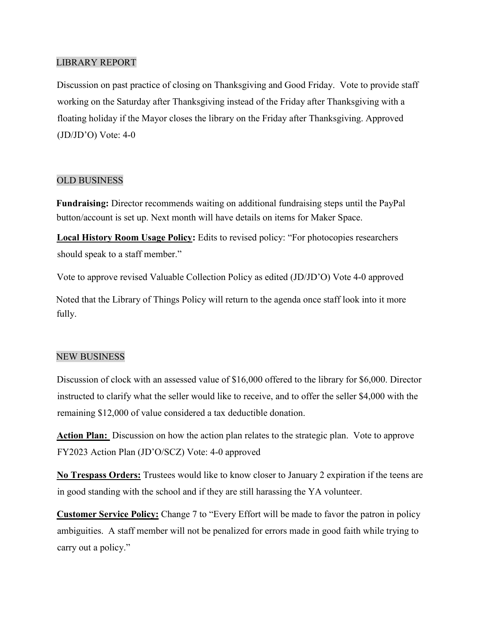# LIBRARY REPORT

Discussion on past practice of closing on Thanksgiving and Good Friday. Vote to provide staff working on the Saturday after Thanksgiving instead of the Friday after Thanksgiving with a floating holiday if the Mayor closes the library on the Friday after Thanksgiving. Approved  $(JD/JD'O)$  Vote: 4-0

## OLD BUSINESS

**Fundraising:** Director recommends waiting on additional fundraising steps until the PayPal button/account is set up. Next month will have details on items for Maker Space.

**Local History Room Usage Policy:** Edits to revised policy: "For photocopies researchers should speak to a staff member."

Vote to approve revised Valuable Collection Policy as edited (JD/JD'O) Vote 4-0 approved

Noted that the Library of Things Policy will return to the agenda once staff look into it more fully.

## NEW BUSINESS

Discussion of clock with an assessed value of \$16,000 offered to the library for \$6,000. Director instructed to clarify what the seller would like to receive, and to offer the seller \$4,000 with the remaining \$12,000 of value considered a tax deductible donation.

**Action Plan:** Discussion on how the action plan relates to the strategic plan. Vote to approve FY2023 Action Plan (JD'O/SCZ) Vote: 4-0 approved

**No Trespass Orders:** Trustees would like to know closer to January 2 expiration if the teens are in good standing with the school and if they are still harassing the YA volunteer.

**Customer Service Policy:** Change 7 to "Every Effort will be made to favor the patron in policy ambiguities. A staff member will not be penalized for errors made in good faith while trying to carry out a policy."